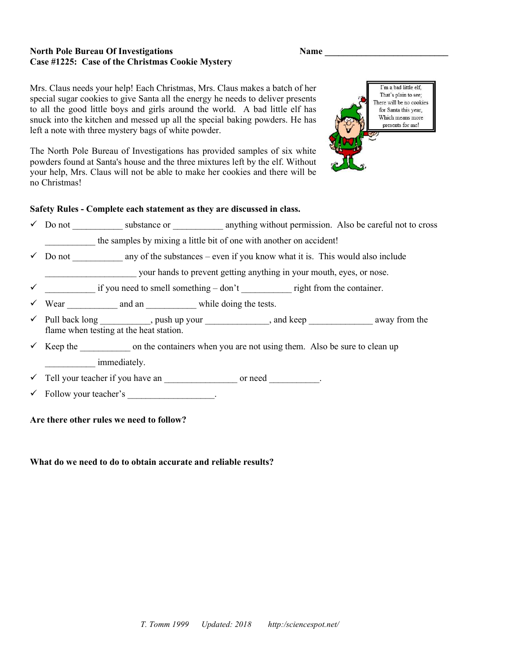#### North Pole Bureau Of Investigations Case #1225: Case of the Christmas Cookie Mystery

|  | ×<br>. .<br>۰.<br>۰, |
|--|----------------------|
|--|----------------------|

Mrs. Claus needs your help! Each Christmas, Mrs. Claus makes a batch of her special sugar cookies to give Santa all the energy he needs to deliver presents to all the good little boys and girls around the world. A bad little elf has snuck into the kitchen and messed up all the special baking powders. He has left a note with three mystery bags of white powder.

The North Pole Bureau of Investigations has provided samples of six white powders found at Santa's house and the three mixtures left by the elf. Without your help, Mrs. Claus will not be able to make her cookies and there will be no Christmas!



#### Safety Rules - Complete each statement as they are discussed in class.

 $\checkmark$  Do not substance or anything without permission. Also be careful not to cross

the samples by mixing a little bit of one with another on accident!

 $\checkmark$  Do not any of the substances – even if you know what it is. This would also include

\_\_\_\_\_\_\_\_\_\_\_\_\_\_\_\_\_\_\_\_ your hands to prevent getting anything in your mouth, eyes, or nose.

- if you need to smell something  $-\text{don't}$  right from the container.
- Wear and an while doing the tests.
- ◆ Pull back long \_\_\_\_\_\_\_\_\_\_, push up your \_\_\_\_\_\_\_\_\_\_\_\_\_, and keep \_\_\_\_\_\_\_\_\_\_\_\_\_ away from the flame when testing at the heat station.
- $\checkmark$  Keep the on the containers when you are not using them. Also be sure to clean up immediately.

 $\checkmark$  Tell your teacher if you have an  $\checkmark$  or need  $\checkmark$ .

 $\checkmark$  Follow your teacher's  $\checkmark$ .

#### Are there other rules we need to follow?

#### What do we need to do to obtain accurate and reliable results?